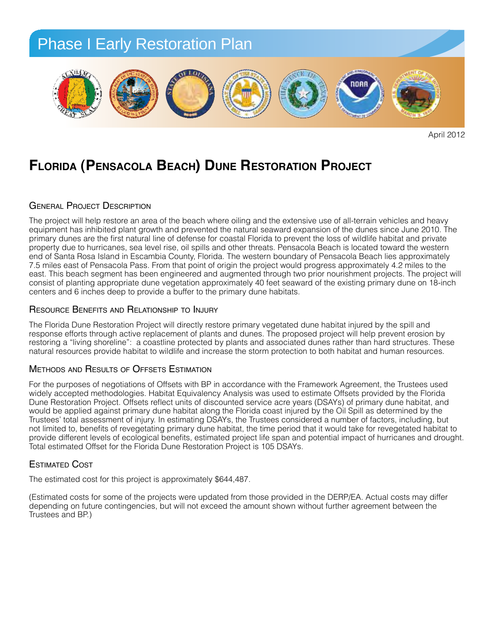

April 2012

## **Florida (Pensacola Beach) Dune Restoration Project One Very GOOd Gulf restOratiOn PrOject**

#### GENERAL PROJECT DESCRIPTION

The project will help restore an area of the beach where oiling and the extensive use of all-terrain vehicles and heavy equipment has inhibited plant growth and prevented the natural seaward expansion of the dunes since June 2010. The primary dunes are the first natural line of defense for coastal Florida to prevent the loss of wildlife habitat and private primary duries are the mst hataral line of deterise for edastant londa to prevent the loss of wilding habitat and private<br>property due to hurricanes, sea level rise, oil spills and other threats. Pensacola Beach is located .<br>end of Śanta Rosa Island in Escambia County, Florida. The western boundary of Pensacola Beach lies approximately 7.5 miles east of Pensacola Pass. From that point of origin the project would progress approximately 4.2 miles to the east. This beach segment has been engineered and augmented through two prior nourishment projects. The project will east. This beach segment has been engineered and augmented through two prior nourishment projects. The project will<br>consist of planting appropriate dune vegetation approximately 40 feet seaward of the existing primary dune *centers and 6 inches deep to provide a buffer to the primary dune habitats.*<br>centers and 6 inches deep to provide a buffer to the primary dune habitats. *restore natural resources that were injured by the Deepwater Horizon oil spill response efforts.* 

#### Resource Benefits and Relationship to Injury

The Florida Dune Restoration Project will directly restore primary vegetated dune habitat injured by the spill and rne Fionda Bune Frestoration Froject will directly restore primary vegetated durie habitat injured by the spill and<br>response efforts through active replacement of plants and dunes. The proposed project will help prevent er restoring a "living shoreline": a coastline protected by plants and associated dunes rather than hard structures. These natural resources provide habitat to wildlife and increase the storm protection to both habitat and human resources.

#### Methods and Results of Offsets Estimation

For the purposes of negotiations of Offsets with BP in accordance with the Framework Agreement, the Trustees used widely accepted methodologies. Habitat Equivalency Analysis was used to estimate Offsets provided by the Florida<br>Dune Pesterstien Preject, Offsets reflect unite of diseaunted esp*ies sare vesse* (DSAVs) of primary dune beh widely accepted metriodologies. Habitat Equivalency Analysis was used to estimate Offsets provided by the Flonda<br>Dune Restoration Project. Offsets reflect units of discounted service acre years (DSAYs) of primary dune habi Band Hestoration Froject: Onsets reneer and or discounted service acre years (DOA13) or primary danc habitat, and<br>would be applied against primary dune habitat along the Florida coast injured by the Oil Spill as determined Trustees' total assessment of injury. In estimating DSAYs, the Trustees considered a number of factors, including, but not limited to, benefits of revegetating primary dune habitat, the time period that it would take for revegetated habitat to hot immed to, benefits of revegetating primary dance habitat, the time period that it would take for revegetated habitat to<br>provide different levels of ecological benefits, estimated project life span and potential impact Total estimated Offset for the Florida Dune Restoration Project is 105 DSAYs. potential impact of numicanes and droug

### **ESTIMATED COST**

The estimated cost for this project is approximately \$644,487. moisture is available to roots, and properly covered with sumated cost for this project is approximatel

(Estimated costs for some of the projects were updated from those provided in the DERP/EA. Actual costs may differ depending on future contingencies, but will not exceed the amount shown without further agreement between the<br>Trustees and PP) Trustees and BP.)  $\alpha$ sand  $\beta$ installed toe of the dunes will be installed for the dunes will be installed for the cities of the cities of the cities of the cities of the cities of the cities of the cities of the cities of the cities of t